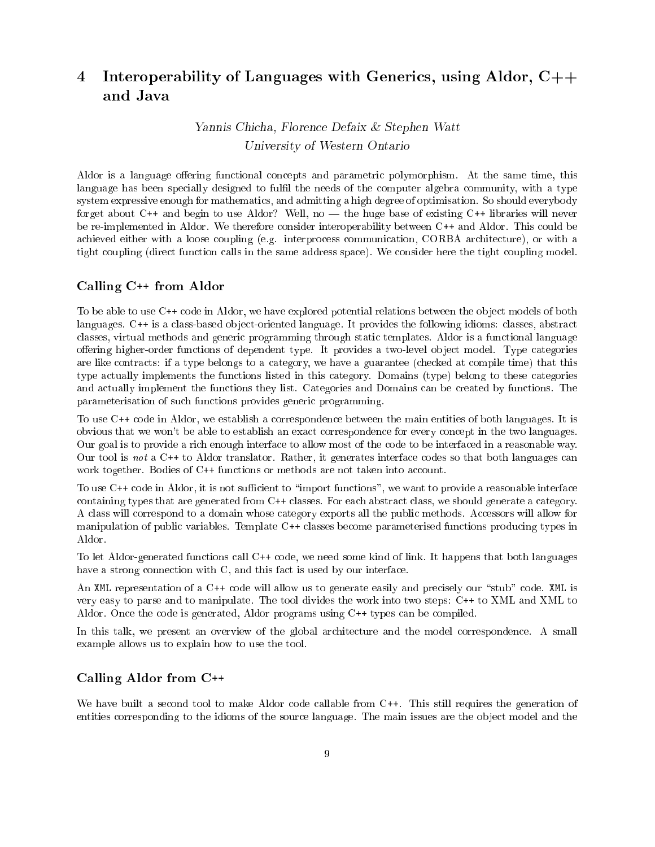# 4 Interoperability of Languages with Generics, using Aldor, C++ and Java

# Yannis Chicha, Florence Defaix & Stephen Watt University of Western Ontario

Aldor is a language offering functional concepts and parametric polymorphism. At the same time, this language has been specially designed to fulfil the needs of the computer algebra community, with a type system expressive enough for mathematics, and admitting a high degree of optimisation. So should everybody forget about  $C^{++}$  and begin to use Aldor? Well, no — the huge base of existing  $C^{++}$  libraries will never be re-implemented in Aldor. We therefore consider interoperability between C++ and Aldor. This could be achieved either with a loose coupling (e.g. interprocess communication, CORBA architecture), or with a tight coupling (direct function calls in the same address space). We consider here the tight coupling model.

#### Calling C++ from Aldor

To be able to use C++ code in Aldor, we have explored potential relations between the ob ject models of both languages. C++ is a class-based object-oriented language. It provides the following idioms: classes, abstract classes, virtual methods and generic programming through static templates. Aldor is a functional language offering higher-order functions of dependent type. It provides a two-level object model. Type categories are like contracts: if a type belongs to a category, we have a guarantee (checked at compile time) that this type actually implements the functions listed in this category. Domains (type) belong to these categories and actually implement the functions they list. Categories and Domains can be created by functions. The parameterisation of such functions provides generic programming.

To use C++ code in Aldor, we establish a correspondence between the main entities of both languages. It is obvious that we won't be able to establish an exact correspondence for every concept in the two languages. Our goal is to provide a rich enough interface to allow most of the code to be interfaced in a reasonable way. Our tool is not a C++ to Aldor translator. Rather, it generates interface codes so that both languages can work together. Bodies of C++ functions or methods are not taken into account.

To use C++ code in Aldor, it is not sufficient to "import functions", we want to provide a reasonable interface containing types that are generated from C++ classes. For each abstract class, we should generate a category. A class will correspond to a domain whose category exports all the public methods. Accessors will allow for manipulation of public variables. Template C++ classes become parameterised functions producing types in Aldor.

To let Aldor-generated functions call C++ code, we need some kind of link. It happens that both languages have a strong connection with C, and this fact is used by our interface.

An XML representation of a C++ code will allow us to generate easily and precisely our "stub" code. XML is very easy to parse and to manipulate. The tool divides the work into two steps: C++ to XML and XML to Aldor. Once the code is generated, Aldor programs using C++ types can be compiled.

In this talk, we present an overview of the global architecture and the model correspondence. A small example allows us to explain how to use the tool.

## Calling Aldor from C++

We have built a second tool to make Aldor code callable from C++. This still requires the generation of entities corresponding to the idioms of the source language. The main issues are the ob ject model and the